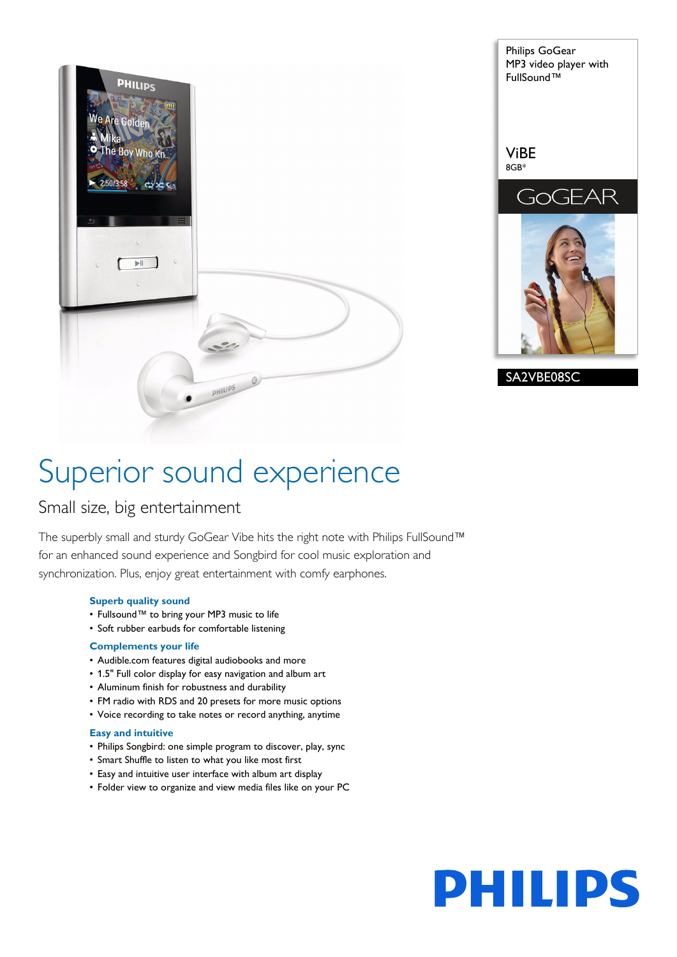



# Superior sound experience

# Small size, big entertainment

The superbly small and sturdy GoGear Vibe hits the right note with Philips FullSound™ for an enhanced sound experience and Songbird for cool music exploration and synchronization. Plus, enjoy great entertainment with comfy earphones.

#### **Superb quality sound**

- Fullsound™ to bring your MP3 music to life
- Soft rubber earbuds for comfortable listening

#### **Complements your life**

- Audible.com features digital audiobooks and more
- 1.5" Full color display for easy navigation and album art
- Aluminum finish for robustness and durability
- FM radio with RDS and 20 presets for more music options
- Voice recording to take notes or record anything, anytime

# **Easy and intuitive**

- Philips Songbird: one simple program to discover, play, sync
- Smart Shuffle to listen to what you like most first
- Easy and intuitive user interface with album art display
- Folder view to organize and view media files like on your PC

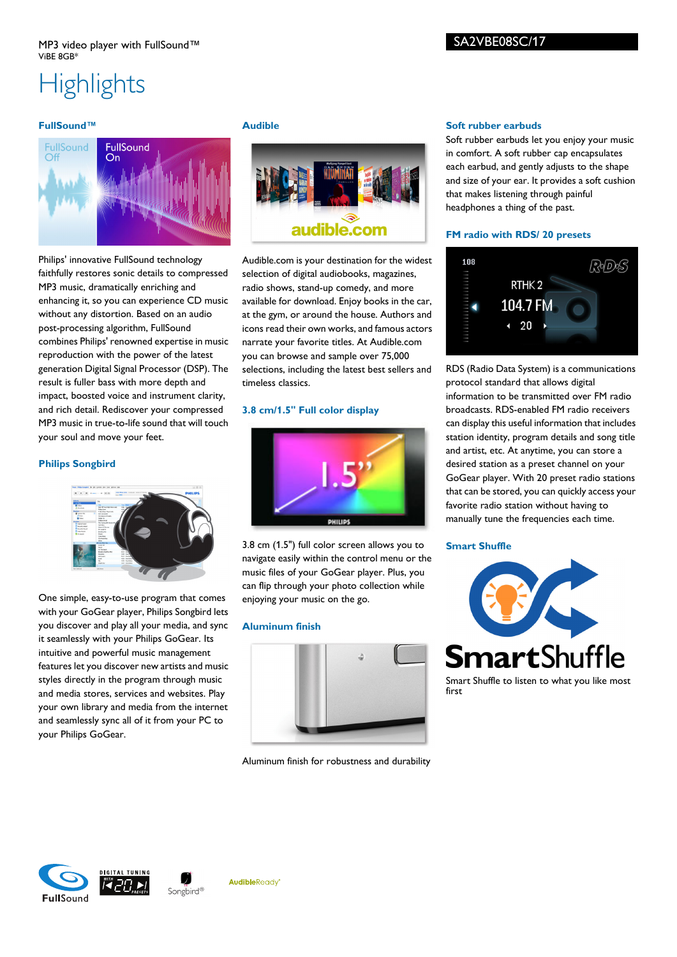# **Highlights**

#### **FullSound™**



Philips' innovative FullSound technology faithfully restores sonic details to compressed MP3 music, dramatically enriching and enhancing it, so you can experience CD music without any distortion. Based on an audio post-processing algorithm, FullSound combines Philips' renowned expertise in music reproduction with the power of the latest generation Digital Signal Processor (DSP). The result is fuller bass with more depth and impact, boosted voice and instrument clarity, and rich detail. Rediscover your compressed MP3 music in true-to-life sound that will touch your soul and move your feet.

#### **Philips Songbird**



One simple, easy-to-use program that comes with your GoGear player, Philips Songbird lets you discover and play all your media, and sync it seamlessly with your Philips GoGear. Its intuitive and powerful music management features let you discover new artists and music styles directly in the program through music and media stores, services and websites. Play your own library and media from the internet and seamlessly sync all of it from your PC to your Philips GoGear.

#### **Audible**



Audible.com is your destination for the widest selection of digital audiobooks, magazines, radio shows, stand-up comedy, and more available for download. Enjoy books in the car, at the gym, or around the house. Authors and icons read their own works, and famous actors narrate your favorite titles. At Audible.com you can browse and sample over 75,000 selections, including the latest best sellers and timeless classics.

#### **3.8 cm/1.5" Full color display**



3.8 cm (1.5") full color screen allows you to navigate easily within the control menu or the music files of your GoGear player. Plus, you can flip through your photo collection while enjoying your music on the go.

#### **Aluminum finish**



Aluminum finish for robustness and durability

#### **Soft rubber earbuds**

Soft rubber earbuds let you enjoy your music in comfort. A soft rubber cap encapsulates each earbud, and gently adjusts to the shape and size of your ear. It provides a soft cushion that makes listening through painful headphones a thing of the past.

#### **FM radio with RDS/ 20 presets**



RDS (Radio Data System) is a communications protocol standard that allows digital information to be transmitted over FM radio broadcasts. RDS-enabled FM radio receivers can display this useful information that includes station identity, program details and song title and artist, etc. At anytime, you can store a desired station as a preset channel on your GoGear player. With 20 preset radio stations that can be stored, you can quickly access your favorite radio station without having to manually tune the frequencies each time.

#### **Smart Shuffle**



**FullSound**